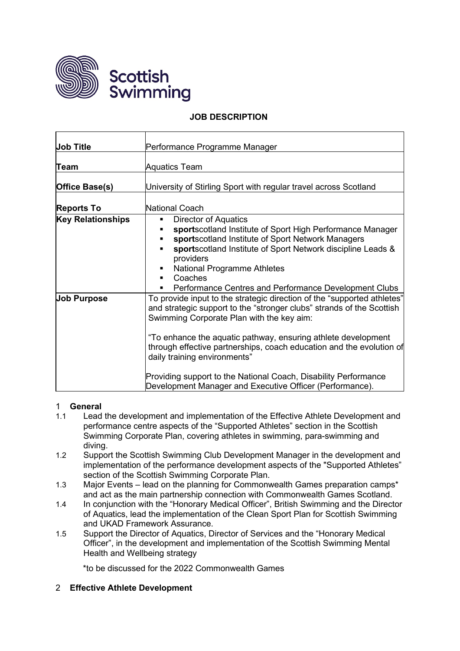



## **JOB DESCRIPTION**

| <b>Job Title</b>         | Performance Programme Manager                                                                                                                                                                                                                                                                                                                                                                                                                                                                         |
|--------------------------|-------------------------------------------------------------------------------------------------------------------------------------------------------------------------------------------------------------------------------------------------------------------------------------------------------------------------------------------------------------------------------------------------------------------------------------------------------------------------------------------------------|
| Team                     | <b>Aquatics Team</b>                                                                                                                                                                                                                                                                                                                                                                                                                                                                                  |
| Office Base(s)           | University of Stirling Sport with regular travel across Scotland                                                                                                                                                                                                                                                                                                                                                                                                                                      |
| <b>Reports To</b>        | National Coach                                                                                                                                                                                                                                                                                                                                                                                                                                                                                        |
| <b>Key Relationships</b> | <b>Director of Aquatics</b><br>٠<br>sportscotland Institute of Sport High Performance Manager<br>sportscotland Institute of Sport Network Managers<br>sportscotland Institute of Sport Network discipline Leads &<br>providers<br>National Programme Athletes<br>Coaches<br>$\blacksquare$<br>Performance Centres and Performance Development Clubs                                                                                                                                                   |
| <b>Job Purpose</b>       | To provide input to the strategic direction of the "supported athletes"<br>and strategic support to the "stronger clubs" strands of the Scottish<br>Swimming Corporate Plan with the key aim:<br>"To enhance the aquatic pathway, ensuring athlete development<br>through effective partnerships, coach education and the evolution of<br>daily training environments"<br>Providing support to the National Coach, Disability Performance<br>Development Manager and Executive Officer (Performance). |

### 1 **General**

- 1.1 Lead the development and implementation of the Effective Athlete Development and performance centre aspects of the "Supported Athletes" section in the Scottish Swimming Corporate Plan, covering athletes in swimming, para-swimming and diving.
- 1.2 Support the Scottish Swimming Club Development Manager in the development and implementation of the performance development aspects of the "Supported Athletes" section of the Scottish Swimming Corporate Plan.
- 1.3 Major Events lead on the planning for Commonwealth Games preparation camps\* and act as the main partnership connection with Commonwealth Games Scotland.
- 1.4 In conjunction with the "Honorary Medical Officer", British Swimming and the Director of Aquatics, lead the implementation of the Clean Sport Plan for Scottish Swimming and UKAD Framework Assurance.
- 1.5 Support the Director of Aquatics, Director of Services and the "Honorary Medical Officer", in the development and implementation of the Scottish Swimming Mental Health and Wellbeing strategy

\*to be discussed for the 2022 Commonwealth Games

### 2 **Effective Athlete Development**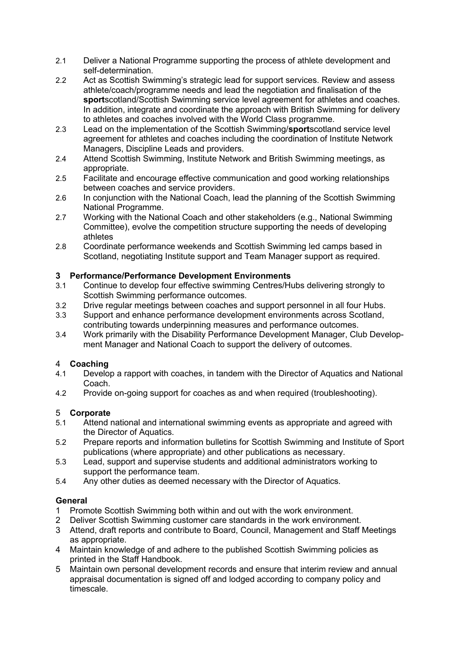- 2.1 Deliver a National Programme supporting the process of athlete development and self-determination.
- 2.2 Act as Scottish Swimming's strategic lead for support services. Review and assess athlete/coach/programme needs and lead the negotiation and finalisation of the **sport**scotland/Scottish Swimming service level agreement for athletes and coaches. In addition, integrate and coordinate the approach with British Swimming for delivery to athletes and coaches involved with the World Class programme.
- 2.3 Lead on the implementation of the Scottish Swimming/**sport**scotland service level agreement for athletes and coaches including the coordination of Institute Network Managers, Discipline Leads and providers.
- 2.4 Attend Scottish Swimming, Institute Network and British Swimming meetings, as appropriate.
- 2.5 Facilitate and encourage effective communication and good working relationships between coaches and service providers.
- 2.6 In conjunction with the National Coach, lead the planning of the Scottish Swimming National Programme.
- 2.7 Working with the National Coach and other stakeholders (e.g., National Swimming Committee), evolve the competition structure supporting the needs of developing athletes
- 2.8 Coordinate performance weekends and Scottish Swimming led camps based in Scotland, negotiating Institute support and Team Manager support as required.

# **3 Performance/Performance Development Environments**

- 3.1 Continue to develop four effective swimming Centres/Hubs delivering strongly to Scottish Swimming performance outcomes.
- 3.2 Drive regular meetings between coaches and support personnel in all four Hubs.
- 3.3 Support and enhance performance development environments across Scotland, contributing towards underpinning measures and performance outcomes.
- 3.4 Work primarily with the Disability Performance Development Manager, Club Development Manager and National Coach to support the delivery of outcomes.

### 4 **Coaching**

- 4.1 Develop a rapport with coaches, in tandem with the Director of Aquatics and National Coach.
- 4.2 Provide on-going support for coaches as and when required (troubleshooting).

# 5 **Corporate**

- Attend national and international swimming events as appropriate and agreed with the Director of Aquatics.
- 5.2 Prepare reports and information bulletins for Scottish Swimming and Institute of Sport publications (where appropriate) and other publications as necessary.
- 5.3 Lead, support and supervise students and additional administrators working to support the performance team.
- 5.4 Any other duties as deemed necessary with the Director of Aquatics.

### **General**

- 1 Promote Scottish Swimming both within and out with the work environment.
- 2 Deliver Scottish Swimming customer care standards in the work environment.
- 3 Attend, draft reports and contribute to Board, Council, Management and Staff Meetings as appropriate.
- 4 Maintain knowledge of and adhere to the published Scottish Swimming policies as printed in the Staff Handbook.
- 5 Maintain own personal development records and ensure that interim review and annual appraisal documentation is signed off and lodged according to company policy and timescale.